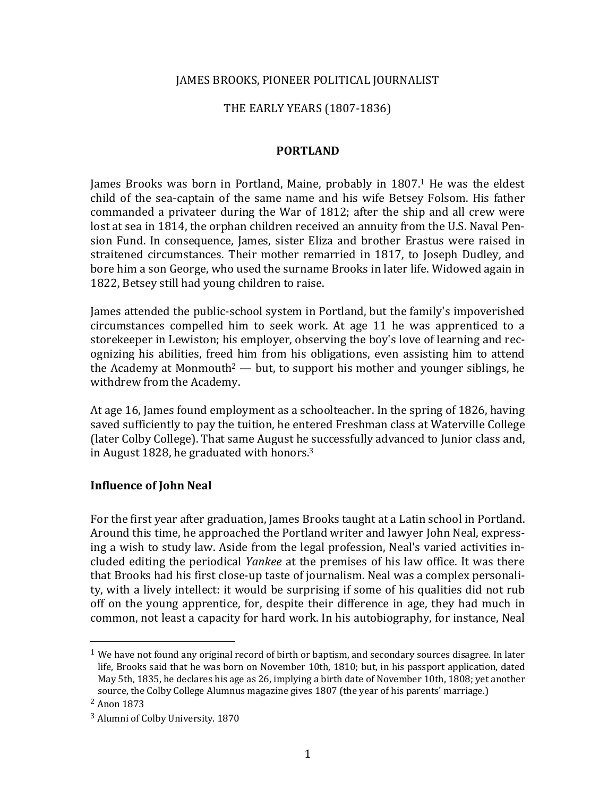### JAMES BROOKS, PIONEER POLITICAL JOURNALIST

### THE EARLY YEARS (1807-1836)

### **PORTLAND**

James Brooks was born in Portland, Maine, probably in 1807.<sup>1</sup> He was the eldest child of the sea-captain of the same name and his wife Betsey Folsom. His father commanded a privateer during the War of 1812; after the ship and all crew were lost at sea in 1814, the orphan children received an annuity from the U.S. Naval Pension Fund. In consequence, James, sister Eliza and brother Erastus were raised in straitened circumstances. Their mother remarried in 1817, to Joseph Dudley, and bore him a son George, who used the surname Brooks in later life. Widowed again in 1822, Betsey still had young children to raise.

James attended the public-school system in Portland, but the family's impoverished circumstances compelled him to seek work. At age 11 he was apprenticed to a storekeeper in Lewiston; his employer, observing the boy's love of learning and recognizing his abilities, freed him from his obligations, even assisting him to attend the Academy at Monmouth<sup>2</sup> — but, to support his mother and younger siblings, he withdrew from the Academy.

At age 16, James found employment as a schoolteacher. In the spring of 1826, having saved sufficiently to pay the tuition, he entered Freshman class at Waterville College (later Colby College). That same August he successfully advanced to Junior class and, in August 1828, he graduated with honors. $3$ 

#### **Influence of John Neal**

For the first year after graduation, James Brooks taught at a Latin school in Portland. Around this time, he approached the Portland writer and lawyer John Neal, expressing a wish to study law. Aside from the legal profession, Neal's varied activities included editing the periodical *Yankee* at the premises of his law office. It was there that Brooks had his first close-up taste of journalism. Neal was a complex personality, with a lively intellect: it would be surprising if some of his qualities did not rub off on the young apprentice, for, despite their difference in age, they had much in common, not least a capacity for hard work. In his autobiography, for instance, Neal

 $1$  We have not found any original record of birth or baptism, and secondary sources disagree. In later life, Brooks said that he was born on November 10th, 1810; but, in his passport application, dated May 5th, 1835, he declares his age as 26, implying a birth date of November 10th, 1808; yet another source, the Colby College Alumnus magazine gives 1807 (the year of his parents' marriage.)

<sup>&</sup>lt;sup>2</sup> Anon 1873

<sup>&</sup>lt;sup>3</sup> Alumni of Colby University. 1870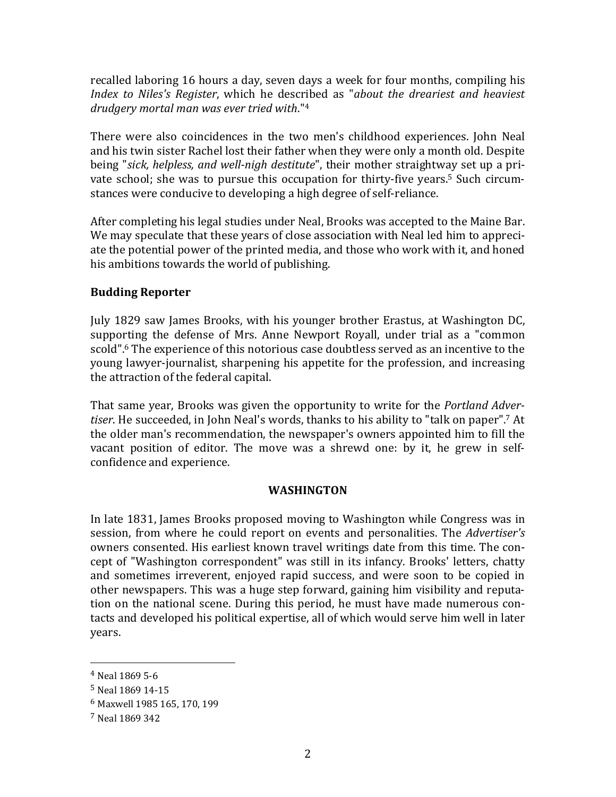recalled laboring 16 hours a day, seven days a week for four months, compiling his *Index to Niles's Register,* which he described as "*about the dreariest and heaviest drudgery mortal man was ever tried with*."4

There were also coincidences in the two men's childhood experiences. John Neal and his twin sister Rachel lost their father when they were only a month old. Despite being "sick, helpless, and well-nigh destitute", their mother straightway set up a private school; she was to pursue this occupation for thirty-five years.<sup>5</sup> Such circumstances were conducive to developing a high degree of self-reliance.

After completing his legal studies under Neal, Brooks was accepted to the Maine Bar. We may speculate that these years of close association with Neal led him to appreciate the potential power of the printed media, and those who work with it, and honed his ambitions towards the world of publishing.

# **Budding Reporter**

July 1829 saw James Brooks, with his younger brother Erastus, at Washington DC, supporting the defense of Mrs. Anne Newport Royall, under trial as a "common scold".<sup>6</sup> The experience of this notorious case doubtless served as an incentive to the young lawyer-journalist, sharpening his appetite for the profession, and increasing the attraction of the federal capital.

That same year, Brooks was given the opportunity to write for the *Portland Adver*tiser. He succeeded, in John Neal's words, thanks to his ability to "talk on paper".<sup>7</sup> At the older man's recommendation, the newspaper's owners appointed him to fill the vacant position of editor. The move was a shrewd one: by it, he grew in selfconfidence and experience.

## **WASHINGTON**

In late 1831, James Brooks proposed moving to Washington while Congress was in session, from where he could report on events and personalities. The *Advertiser's* owners consented. His earliest known travel writings date from this time. The concept of "Washington correspondent" was still in its infancy. Brooks' letters, chatty and sometimes irreverent, enjoyed rapid success, and were soon to be copied in other newspapers. This was a huge step forward, gaining him visibility and reputation on the national scene. During this period, he must have made numerous contacts and developed his political expertise, all of which would serve him well in later years.

 $4$  Neal 1869 5-6

<sup>&</sup>lt;sup>5</sup> Neal 1869 14-15

<sup>6</sup> Maxwell 1985 165, 170, 199

<sup>7</sup> Neal 1869 342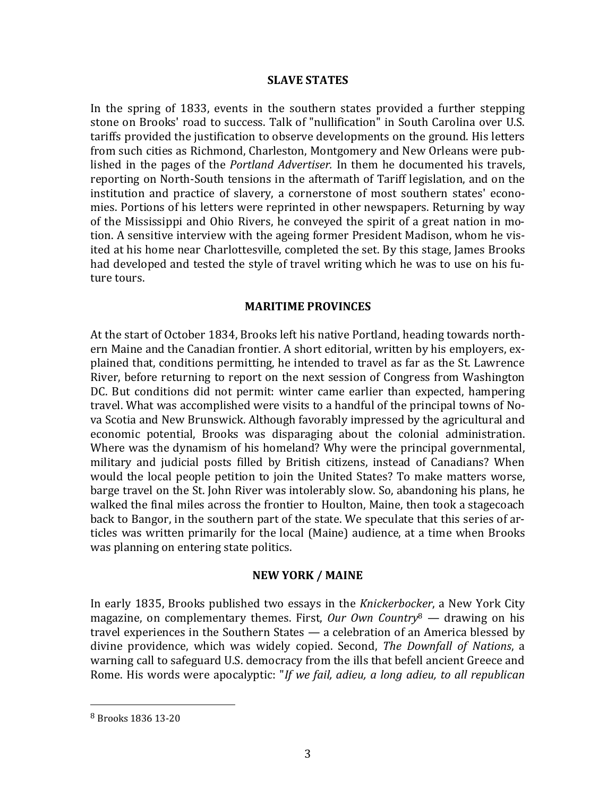#### **SLAVE STATES**

In the spring of 1833, events in the southern states provided a further stepping stone on Brooks' road to success. Talk of "nullification" in South Carolina over U.S. tariffs provided the justification to observe developments on the ground. His letters from such cities as Richmond, Charleston, Montgomery and New Orleans were published in the pages of the *Portland Advertiser*. In them he documented his travels, reporting on North-South tensions in the aftermath of Tariff legislation, and on the institution and practice of slavery, a cornerstone of most southern states' economies. Portions of his letters were reprinted in other newspapers. Returning by way of the Mississippi and Ohio Rivers, he conveyed the spirit of a great nation in motion. A sensitive interview with the ageing former President Madison, whom he visited at his home near Charlottesville, completed the set. By this stage, James Brooks had developed and tested the style of travel writing which he was to use on his future tours.

#### **MARITIME PROVINCES**

At the start of October 1834, Brooks left his native Portland, heading towards northern Maine and the Canadian frontier. A short editorial, written by his employers, explained that, conditions permitting, he intended to travel as far as the St. Lawrence River, before returning to report on the next session of Congress from Washington DC. But conditions did not permit: winter came earlier than expected, hampering travel. What was accomplished were visits to a handful of the principal towns of Nova Scotia and New Brunswick. Although favorably impressed by the agricultural and economic potential, Brooks was disparaging about the colonial administration. Where was the dynamism of his homeland? Why were the principal governmental, military and judicial posts filled by British citizens, instead of Canadians? When would the local people petition to join the United States? To make matters worse, barge travel on the St. John River was intolerably slow. So, abandoning his plans, he walked the final miles across the frontier to Houlton, Maine, then took a stagecoach back to Bangor, in the southern part of the state. We speculate that this series of articles was written primarily for the local (Maine) audience, at a time when Brooks was planning on entering state politics.

### **NEW YORK / MAINE**

In early 1835, Brooks published two essays in the *Knickerbocker*, a New York City magazine, on complementary themes. First, *Our Own Country*<sup>8</sup> — drawing on his travel experiences in the Southern States  $-$  a celebration of an America blessed by divine providence, which was widely copied. Second, *The Downfall of Nations*, a warning call to safeguard U.S. democracy from the ills that befell ancient Greece and Rome. His words were apocalyptic: "If we fail, adieu, a long adieu, to all republican

<sup>8</sup> Brooks 1836 13-20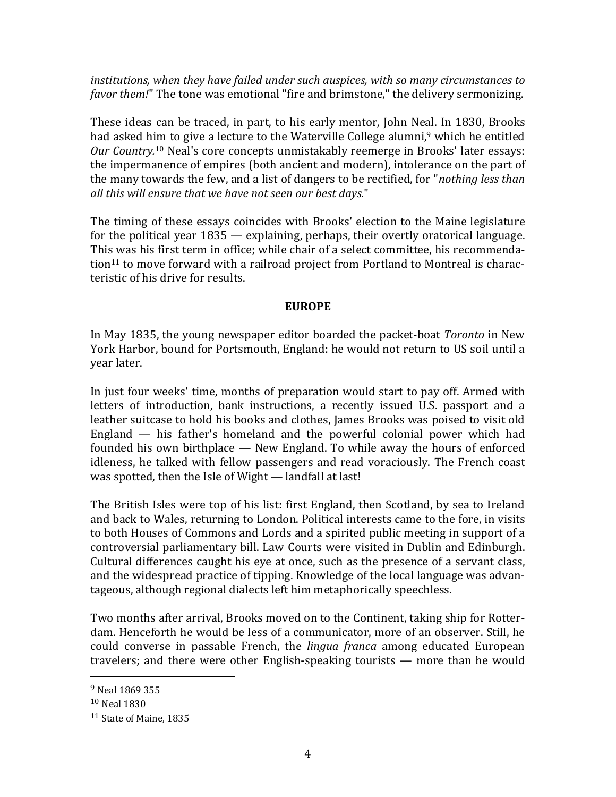*institutions, when they have failed under such auspices, with so many circumstances to favor them!*" The tone was emotional "fire and brimstone," the delivery sermonizing.

These ideas can be traced, in part, to his early mentor, John Neal. In 1830, Brooks had asked him to give a lecture to the Waterville College alumni,<sup>9</sup> which he entitled Our Country.<sup>10</sup> Neal's core concepts unmistakably reemerge in Brooks' later essays: the impermanence of empires (both ancient and modern), intolerance on the part of the many towards the few, and a list of dangers to be rectified, for "*nothing less than* all this will ensure that we have not seen our best days."

The timing of these essays coincides with Brooks' election to the Maine legislature for the political vear  $1835$  — explaining, perhaps, their overtly oratorical language. This was his first term in office; while chair of a select committee, his recommendation<sup>11</sup> to move forward with a railroad project from Portland to Montreal is characteristic of his drive for results.

# **EUROPE**

In May 1835, the young newspaper editor boarded the packet-boat *Toronto* in New York Harbor, bound for Portsmouth, England: he would not return to US soil until a year later. 

In just four weeks' time, months of preparation would start to pay off. Armed with letters of introduction, bank instructions, a recently issued U.S. passport and a leather suitcase to hold his books and clothes, James Brooks was poised to visit old England  $-$  his father's homeland and the powerful colonial power which had founded his own birthplace  $-$  New England. To while away the hours of enforced idleness, he talked with fellow passengers and read voraciously. The French coast was spotted, then the Isle of Wight — landfall at last!

The British Isles were top of his list: first England, then Scotland, by sea to Ireland and back to Wales, returning to London. Political interests came to the fore, in visits to both Houses of Commons and Lords and a spirited public meeting in support of a controversial parliamentary bill. Law Courts were visited in Dublin and Edinburgh. Cultural differences caught his eye at once, such as the presence of a servant class, and the widespread practice of tipping. Knowledge of the local language was advantageous, although regional dialects left him metaphorically speechless.

Two months after arrival, Brooks moved on to the Continent, taking ship for Rotterdam. Henceforth he would be less of a communicator, more of an observer. Still, he could converse in passable French, the *lingua franca* among educated European travelers; and there were other English-speaking tourists  $-$  more than he would

<sup>&</sup>lt;sup>9</sup> Neal 1869 355

<sup>&</sup>lt;sup>10</sup> Neal 1830

<sup>11</sup> State of Maine, 1835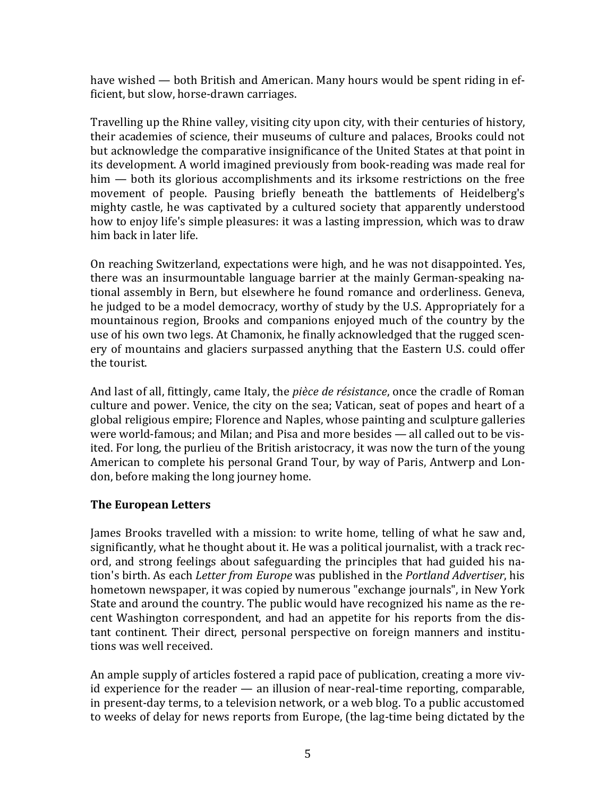have wished — both British and American. Many hours would be spent riding in efficient, but slow, horse-drawn carriages.

Travelling up the Rhine valley, visiting city upon city, with their centuries of history, their academies of science, their museums of culture and palaces, Brooks could not but acknowledge the comparative insignificance of the United States at that point in its development. A world imagined previously from book-reading was made real for  $\lim$  — both its glorious accomplishments and its irksome restrictions on the free movement of people. Pausing briefly beneath the battlements of Heidelberg's mighty castle, he was captivated by a cultured society that apparently understood how to enjoy life's simple pleasures: it was a lasting impression, which was to draw him back in later life.

On reaching Switzerland, expectations were high, and he was not disappointed. Yes, there was an insurmountable language barrier at the mainly German-speaking national assembly in Bern, but elsewhere he found romance and orderliness. Geneva, he judged to be a model democracy, worthy of study by the U.S. Appropriately for a mountainous region, Brooks and companions enjoyed much of the country by the use of his own two legs. At Chamonix, he finally acknowledged that the rugged scenery of mountains and glaciers surpassed anything that the Eastern U.S. could offer the tourist.

And last of all, fittingly, came Italy, the *pièce de résistance*, once the cradle of Roman culture and power. Venice, the city on the sea; Vatican, seat of popes and heart of a global religious empire; Florence and Naples, whose painting and sculpture galleries were world-famous; and Milan; and Pisa and more besides  $-$  all called out to be visited. For long, the purlieu of the British aristocracy, it was now the turn of the young American to complete his personal Grand Tour, by way of Paris, Antwerp and London, before making the long journey home.

# **The European Letters**

James Brooks travelled with a mission: to write home, telling of what he saw and, significantly, what he thought about it. He was a political journalist, with a track record, and strong feelings about safeguarding the principles that had guided his nation's birth. As each *Letter from Europe* was published in the *Portland Advertiser*, his hometown newspaper, it was copied by numerous "exchange journals", in New York State and around the country. The public would have recognized his name as the recent Washington correspondent, and had an appetite for his reports from the distant continent. Their direct, personal perspective on foreign manners and institutions was well received.

An ample supply of articles fostered a rapid pace of publication, creating a more vivid experience for the reader  $-$  an illusion of near-real-time reporting, comparable, in present-day terms, to a television network, or a web blog. To a public accustomed to weeks of delay for news reports from Europe, (the lag-time being dictated by the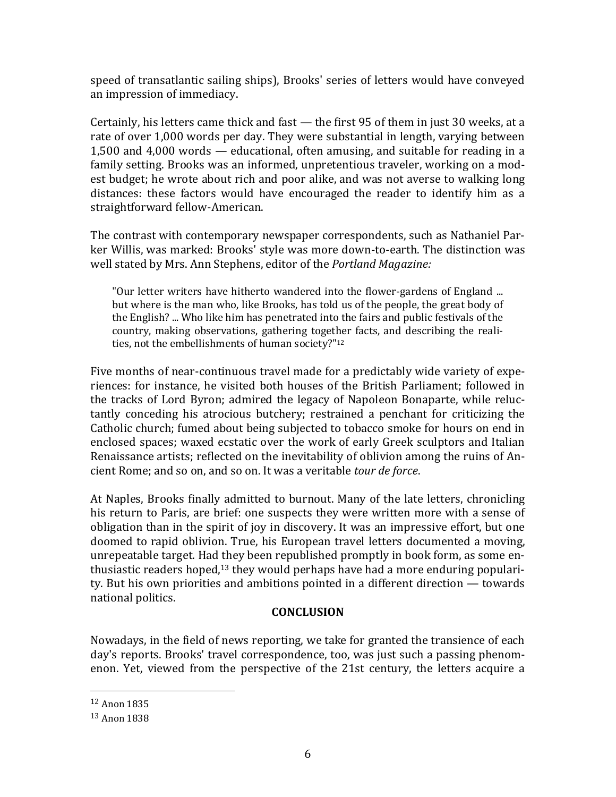speed of transatlantic sailing ships), Brooks' series of letters would have conveyed an impression of immediacy.

Certainly, his letters came thick and fast  $-$  the first 95 of them in just 30 weeks, at a rate of over 1,000 words per day. They were substantial in length, varying between 1,500 and  $4,000$  words  $-$  educational, often amusing, and suitable for reading in a family setting. Brooks was an informed, unpretentious traveler, working on a modest budget; he wrote about rich and poor alike, and was not averse to walking long distances: these factors would have encouraged the reader to identify him as a straightforward fellow-American.

The contrast with contemporary newspaper correspondents, such as Nathaniel Parker Willis, was marked: Brooks' style was more down-to-earth. The distinction was well stated by Mrs. Ann Stephens, editor of the *Portland Magazine:* 

"Our letter writers have hitherto wandered into the flower-gardens of England ... but where is the man who, like Brooks, has told us of the people, the great body of the English? ... Who like him has penetrated into the fairs and public festivals of the country, making observations, gathering together facts, and describing the realities, not the embellishments of human society?"<sup>12</sup>

Five months of near-continuous travel made for a predictably wide variety of experiences: for instance, he visited both houses of the British Parliament: followed in the tracks of Lord Byron; admired the legacy of Napoleon Bonaparte, while reluctantly conceding his atrocious butchery; restrained a penchant for criticizing the Catholic church; fumed about being subjected to tobacco smoke for hours on end in enclosed spaces; waxed ecstatic over the work of early Greek sculptors and Italian Renaissance artists; reflected on the inevitability of oblivion among the ruins of Ancient Rome; and so on, and so on. It was a veritable *tour de force*.

At Naples, Brooks finally admitted to burnout. Many of the late letters, chronicling his return to Paris, are brief: one suspects they were written more with a sense of obligation than in the spirit of joy in discovery. It was an impressive effort, but one doomed to rapid oblivion. True, his European travel letters documented a moving, unrepeatable target. Had they been republished promptly in book form, as some enthusiastic readers hoped,<sup>13</sup> they would perhaps have had a more enduring popularity. But his own priorities and ambitions pointed in a different direction  $-$  towards national politics.

# **CONCLUSION**

Nowadays, in the field of news reporting, we take for granted the transience of each day's reports. Brooks' travel correspondence, too, was just such a passing phenomenon. Yet, viewed from the perspective of the 21st century, the letters acquire a

<sup>12</sup> Anon 1835

<sup>13</sup> Anon 1838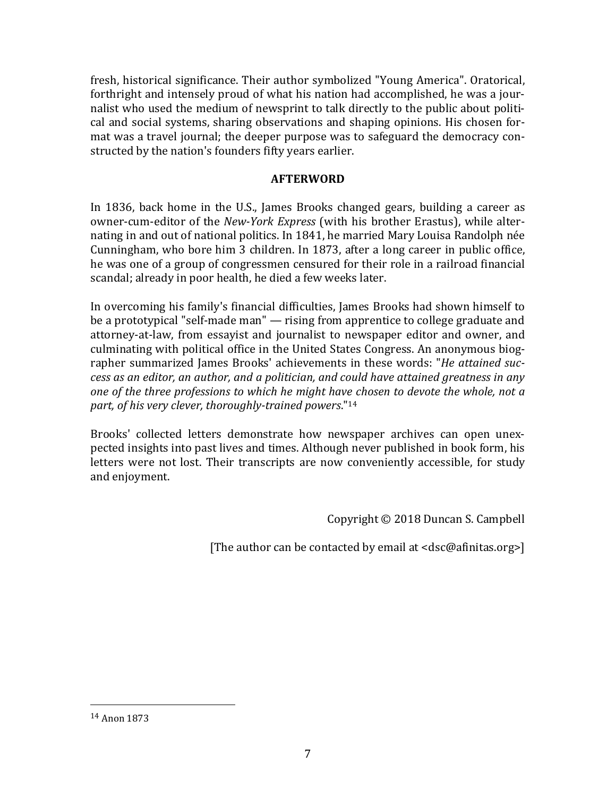fresh, historical significance. Their author symbolized "Young America". Oratorical, forthright and intensely proud of what his nation had accomplished, he was a journalist who used the medium of newsprint to talk directly to the public about political and social systems, sharing observations and shaping opinions. His chosen format was a travel journal; the deeper purpose was to safeguard the democracy constructed by the nation's founders fifty years earlier.

# **AFTERWORD**

In 1836, back home in the U.S., James Brooks changed gears, building a career as owner-cum-editor of the *New-York Express* (with his brother Erastus), while alternating in and out of national politics. In 1841, he married Mary Louisa Randolph née Cunningham, who bore him 3 children. In 1873, after a long career in public office, he was one of a group of congressmen censured for their role in a railroad financial scandal; already in poor health, he died a few weeks later.

In overcoming his family's financial difficulties, James Brooks had shown himself to be a prototypical "self-made man" — rising from apprentice to college graduate and attorney-at-law, from essayist and journalist to newspaper editor and owner, and culminating with political office in the United States Congress. An anonymous biographer summarized James Brooks' achievements in these words: "He attained suc*cess as an editor, an author, and a politician, and could have attained greatness in any one* of the three professions to which he might have chosen to devote the whole, not a part, of his very clever, thoroughly-trained powers."<sup>14</sup>

Brooks' collected letters demonstrate how newspaper archives can open unexpected insights into past lives and times. Although never published in book form, his letters were not lost. Their transcripts are now conveniently accessible, for study and enjoyment.

Copyright  $\odot$  2018 Duncan S. Campbell

[The author can be contacted by email at  $<$ dsc@afinitas.org>]

<sup>14</sup> Anon 1873